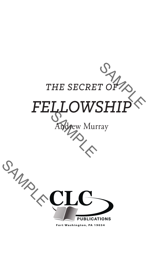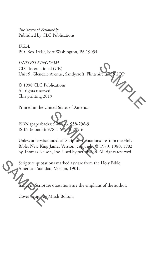*The Secret of Fellowship* Published by CLC Publications

*U.S.A.* P.O. Box 1449, Fort Washington, PA 19034

**INTERNA** *UNITED KINGDOM* CLC International (UK) Unit 5, Glendale Avenue, Sandycroft, Flintshire

© 1998 CLC Publications All rights reserved This printing 2019

Printed in the United States of America

ISBN (paperback): 978-1-61958-298-9 ISBN (e-book): 978-1-61958-299-6

SP<br>
SP<br>
T8-1-61958-299-6<br>
T8-1-61958-299-6<br>
James Version, convriging<br>
n, Inc. Used by permission Unless otherwise noted, all Scripture quotations are from the Holy Bible, New King James Version, copyright © 1979, 1980, 1982 by Thomas Nelson, Inc. Used by permission. All rights reserved.

**SAMPLE** Scripture quotations marked asv are from the Holy Bible, American Standard Version, 1901.

Italic in Scripture quotations are the emphasis of the author.

design by Mitch Bolton.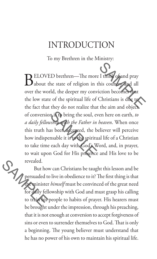## INTRODUCTION

To my Brethren in the Ministry:

I think of and pray<br>his country and all<br>iction becomes that<br>Christians is due to<br>the aim and object. or is the bring the soul, even<br>for the part of the Father in<br>as been accepted, the b<br>maable it is to the spiriture each day with God's W<br>a God for His presence BELOVED brethren—The more I think of and pray<br>about the state of religion in this country and all  $\mathbf{J}$  about the state of religion in this country and all over the world, the deeper my conviction becomes that the low state of the spiritual life of Christians is due to the fact that they do not realize that the aim and object of conversion is to bring the soul, even here on earth, *to a daily fellowship with the Father in heaven*. When once this truth has been accepted, the believer will perceive how indispensable it is to the spiritual life of a Christian to take time each day with God's Word, and, in prayer, to wait upon God for His presence and His love to be

revealed.<br>But how<br>persuaded to<br>for gaily fell<br>to train his But how can Christians be taught this lesson and be persuaded to live in obedience to it? The first thing is that the minister *himself* must be convinced of the great need for daily fellowship with God and must grasp his calling to train his people to habits of prayer. His hearers must be brought under the impression, through his preaching, that it is not enough at conversion to accept forgiveness of sins or even to surrender them selves to God. That is only a beginning. The young believer must understand that he has no power of his own to maintain his spiritual life.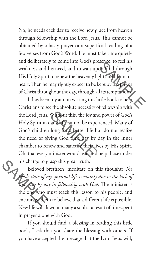of God through<br>ght and life in his<br>gept by the power<br>lits temptations.<br>ttle book to help.<br>f fellowship with No, he needs each day to receive new grace from heaven through fellowship with the Lord Jesus. This cannot be obtained by a hasty prayer or a superficial reading of a few verses from God's Word. He must take time quietly and deliberately to come into God's presence, to feel his weakness and his need, and to wait upon God through His Holy Spirit to renew the heavenly light and life in his heart. Then he may rightly expect to be kept by the power of Christ throughout the day, through all its temptations.

Without this, the joy and<br>laily life cannot be experience long for a better life b<br>ing God time day by<br>ew and sanctify their life<br>minister would lead and It has been my aim in writing this little book to help Christians to see the absolute necessity of fellowship with the Lord Jesus. Without this, the joy and power of God's Holy Spirit in daily life cannot be experienced. Many of God's children long for a better life but do not realize the need of giving God time day by day in the inner chamber to renew and sanctify their lives by His Spirit. Oh, that every minister would lead and help those under his charge to grasp this great truth.

his charge to g<br>Beloved b<br>Beloved by<br>Beloved by day<br>the one who n<br>encourage then Beloved brethren, meditate on this thought: *The feeble state of my spiritual life is mainly due to the lack of*  time day by day in fellowship with God. The minister is the one who must teach this lesson to his people, and encourage them to believe that a different life is possible. New life will dawn in many a soul as a result of time spent in prayer alone with God.

> If you should find a blessing in reading this little book, I ask that you share the blessing with others. If you have accepted the message that the Lord Jesus will,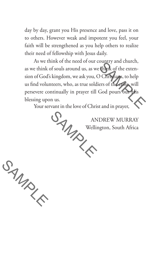day by day, grant you His presence and love, pass it on to others. However weak and impotent you feel, your faith will be strengthened as you help others to realize their need of fellowship with Jesus daily.

Chinary and chutch,<br>Chinary of the exten-<br>Chinary to help<br>ers of the extensional discussions of the exten-<br>God pours out this<br>t and in prayer, As we think of the need of our country and church, as we think of souls around us, as we think of the extension of God's kingdom, we ask you, O Christians, to help us find volunteers, who, as true soldiers of the cross, will persevere continually in prayer till God pours out His blessing upon us.

Your servant in the love of Christ and in prayer,

SAMPLE ANDREW MURRAY Wellington, South Africa

SAMPLE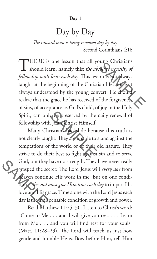## **Day 1**

## Day by Day

*The inward man is being renewed day by day.* Second Corinthians 4:16

Shing Christians<br>Shing necessity of<br>on is not always<br>ian life, not is it<br>wert. He should  $\prod_{\alpha}$ HERE is one lesson that all young Christians should learn, namely this: *the absolute necessity of fellowship with Jesus each day*. This lesson is not al ways taught at the beginning of the Christian life, not is it always understood by the young convert. He should realize that the grace he has received of the forgiveness of sins, of acceptance as God's child, of joy in the Holy Spirit, can only be preserved by the daily renewal of fellowship with Jesus Christ Himself.

Superior of the preserved by the set of the set of the set of the set of the set of the set of the set of the set of the set of the set of the set of the set of the set of the set of the set of the set of the set of the se God, but they<br>
grasped the sex<br>
frace continues<br>
love and His graduate day<br>
is the individual Many Christians backslide because this truth is not clearly taught. They are unable to stand against the temptations of the world or of their old nature. They strive to do their best to fight against sin and to serve God, but they have no strength. They have never really grasped the secret: The Lord Jesus will *every day* from heaven continue His work in me. But on one condition—*the soul must give Him time each day* to impart His love and His grace. Time alone with the Lord Jesus each day is the indispensable condition of growth and power.

Read Matthew 11:25–30. Listen to Christ's word: "Come to Me . . . and I will give you rest. . . . Learn from Me . . . and you will find rest for your souls" (Matt. 11:28–29). The Lord will teach us just how gentle and humble He is. Bow before Him, tell Him